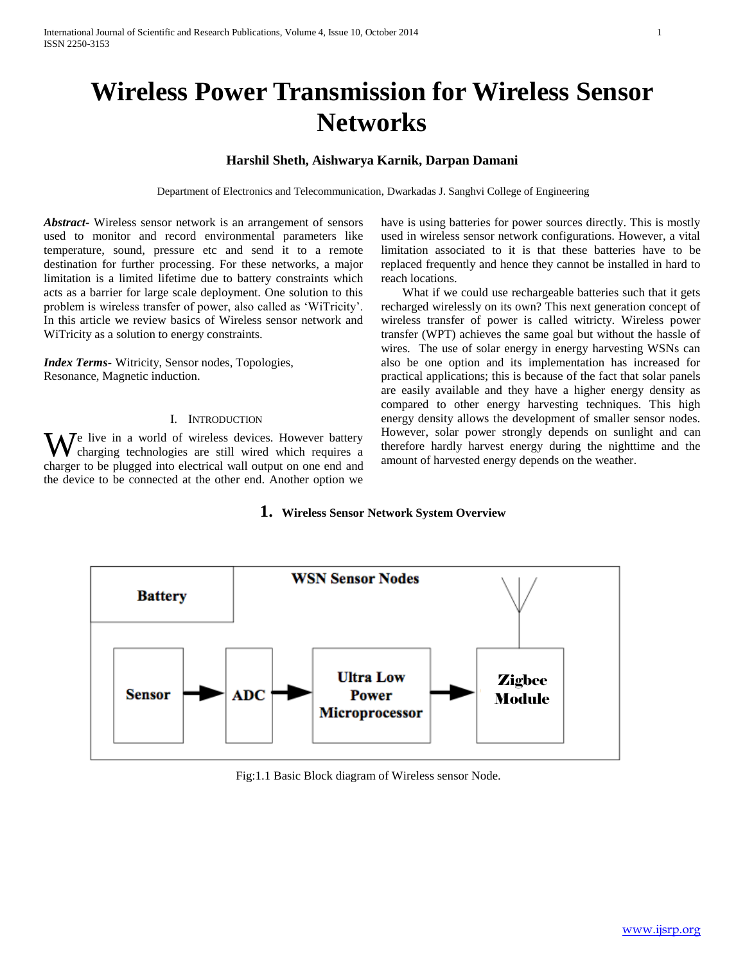# **Wireless Power Transmission for Wireless Sensor Networks**

# **Harshil Sheth, Aishwarya Karnik, Darpan Damani**

Department of Electronics and Telecommunication, Dwarkadas J. Sanghvi College of Engineering

*Abstract***-** Wireless sensor network is an arrangement of sensors used to monitor and record environmental parameters like temperature, sound, pressure etc and send it to a remote destination for further processing. For these networks, a major limitation is a limited lifetime due to battery constraints which acts as a barrier for large scale deployment. One solution to this problem is wireless transfer of power, also called as "WiTricity". In this article we review basics of Wireless sensor network and WiTricity as a solution to energy constraints.

*Index Terms*- Witricity, Sensor nodes, Topologies, Resonance, Magnetic induction.

# I. INTRODUCTION

We live in a world of wireless devices. However battery charging technologies are still wired which requires a charging technologies are still wired which requires a charger to be plugged into electrical wall output on one end and the device to be connected at the other end. Another option we

have is using batteries for power sources directly. This is mostly used in wireless sensor network configurations. However, a vital limitation associated to it is that these batteries have to be replaced frequently and hence they cannot be installed in hard to reach locations.

 What if we could use rechargeable batteries such that it gets recharged wirelessly on its own? This next generation concept of wireless transfer of power is called witricty. Wireless power transfer (WPT) achieves the same goal but without the hassle of wires. The use of solar energy in energy harvesting WSNs can also be one option and its implementation has increased for practical applications; this is because of the fact that solar panels are easily available and they have a higher energy density as compared to other energy harvesting techniques. This high energy density allows the development of smaller sensor nodes. However, solar power strongly depends on sunlight and can therefore hardly harvest energy during the nighttime and the amount of harvested energy depends on the weather.

# **1. Wireless Sensor Network System Overview**



Fig:1.1 Basic Block diagram of Wireless sensor Node.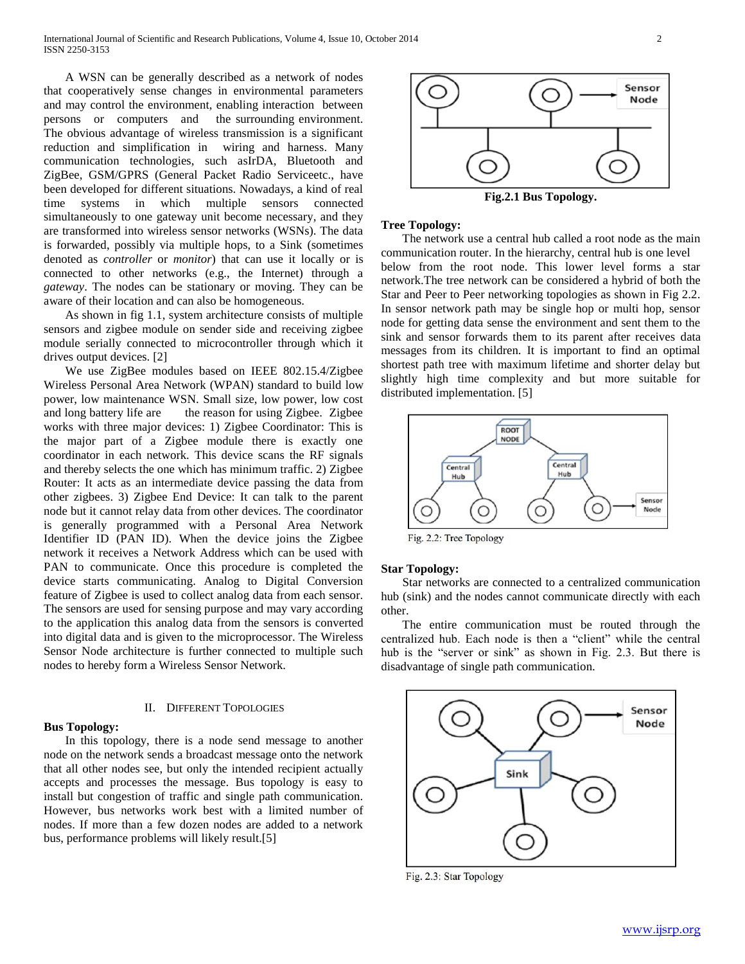A WSN can be generally described as a network of nodes that cooperatively sense changes in environmental parameters and may control the environment, enabling interaction between persons or computers and the surrounding environment. The obvious advantage of wireless transmission is a significant reduction and simplification in wiring and harness. Many communication technologies, such asIrDA, Bluetooth and ZigBee, GSM/GPRS (General Packet Radio Serviceetc., have been developed for different situations. Nowadays, a kind of real time systems in which multiple sensors connected simultaneously to one gateway unit become necessary, and they are transformed into wireless sensor networks (WSNs). The data is forwarded, possibly via multiple hops, to a Sink (sometimes denoted as *controller* or *monitor*) that can use it locally or is connected to other networks (e.g., the Internet) through a *gateway*. The nodes can be stationary or moving. They can be aware of their location and can also be homogeneous.

 As shown in fig 1.1, system architecture consists of multiple sensors and zigbee module on sender side and receiving zigbee module serially connected to microcontroller through which it drives output devices. [2]

 We use ZigBee modules based on IEEE 802.15.4/Zigbee Wireless Personal Area Network (WPAN) standard to build low power, low maintenance WSN. Small size, low power, low cost and long battery life are the reason for using Zigbee. Zigbee works with three major devices: 1) Zigbee Coordinator: This is the major part of a Zigbee module there is exactly one coordinator in each network. This device scans the RF signals and thereby selects the one which has minimum traffic. 2) Zigbee Router: It acts as an intermediate device passing the data from other zigbees. 3) Zigbee End Device: It can talk to the parent node but it cannot relay data from other devices. The coordinator is generally programmed with a Personal Area Network Identifier ID (PAN ID). When the device joins the Zigbee network it receives a Network Address which can be used with PAN to communicate. Once this procedure is completed the device starts communicating. Analog to Digital Conversion feature of Zigbee is used to collect analog data from each sensor. The sensors are used for sensing purpose and may vary according to the application this analog data from the sensors is converted into digital data and is given to the microprocessor. The Wireless Sensor Node architecture is further connected to multiple such nodes to hereby form a Wireless Sensor Network.

## II. DIFFERENT TOPOLOGIES

# **Bus Topology:**

 In this topology, there is a node send message to another node on the network sends a broadcast message onto the network that all other nodes see, but only the intended recipient actually accepts and processes the message. Bus topology is easy to install but congestion of traffic and single path communication. However, bus networks work best with a limited number of nodes. If more than a few dozen nodes are added to a network bus, performance problems will likely result.[5]



**Fig.2.1 Bus Topology.**

### **Tree Topology:**

 The network use a central hub called a root node as the main communication router. In the hierarchy, central hub is one level below from the root node. This lower level forms a star network.The tree network can be considered a hybrid of both the Star and Peer to Peer networking topologies as shown in Fig 2.2. In sensor network path may be single hop or multi hop, sensor node for getting data sense the environment and sent them to the sink and sensor forwards them to its parent after receives data messages from its children. It is important to find an optimal shortest path tree with maximum lifetime and shorter delay but slightly high time complexity and but more suitable for distributed implementation. [5]



Fig. 2.2: Tree Topology

## **Star Topology:**

 Star networks are connected to a centralized communication hub (sink) and the nodes cannot communicate directly with each other.

 The entire communication must be routed through the centralized hub. Each node is then a "client" while the central hub is the "server or sink" as shown in Fig. 2.3. But there is disadvantage of single path communication.



Fig. 2.3: Star Topology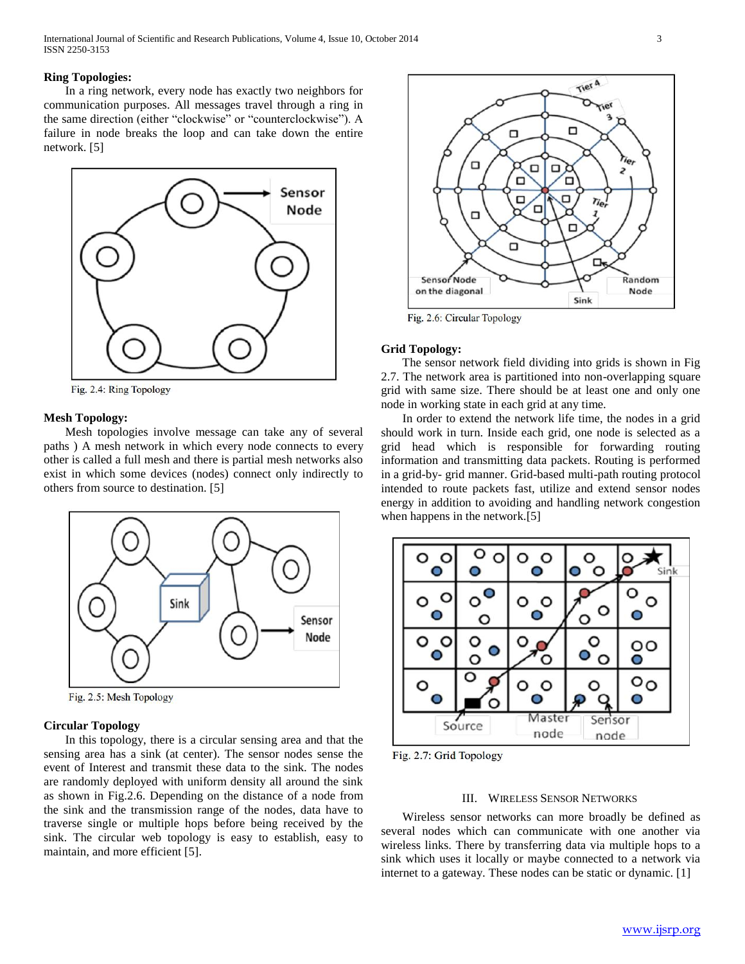## **Ring Topologies:**

 In a ring network, every node has exactly two neighbors for communication purposes. All messages travel through a ring in the same direction (either "clockwise" or "counterclockwise"). A failure in node breaks the loop and can take down the entire network. [5]



Fig. 2.4: Ring Topology

#### **Mesh Topology:**

 Mesh topologies involve message can take any of several paths ) A mesh network in which every node connects to every other is called a full mesh and there is partial mesh networks also exist in which some devices (nodes) connect only indirectly to others from source to destination. [5]



Fig. 2.5: Mesh Topology

# **Circular Topology**

 In this topology, there is a circular sensing area and that the sensing area has a sink (at center). The sensor nodes sense the event of Interest and transmit these data to the sink. The nodes are randomly deployed with uniform density all around the sink as shown in Fig.2.6. Depending on the distance of a node from the sink and the transmission range of the nodes, data have to traverse single or multiple hops before being received by the sink. The circular web topology is easy to establish, easy to maintain, and more efficient [5].



Fig. 2.6: Circular Topology

#### **Grid Topology:**

 The sensor network field dividing into grids is shown in Fig 2.7. The network area is partitioned into non-overlapping square grid with same size. There should be at least one and only one node in working state in each grid at any time.

 In order to extend the network life time, the nodes in a grid should work in turn. Inside each grid, one node is selected as a grid head which is responsible for forwarding routing information and transmitting data packets. Routing is performed in a grid-by- grid manner. Grid-based multi-path routing protocol intended to route packets fast, utilize and extend sensor nodes energy in addition to avoiding and handling network congestion when happens in the network.[5]



Fig. 2.7: Grid Topology

## III. WIRELESS SENSOR NETWORKS

 Wireless sensor networks can more broadly be defined as several nodes which can communicate with one another via wireless links. There by transferring data via multiple hops to a sink which uses it locally or maybe connected to a network via internet to a gateway. These nodes can be static or dynamic. [1]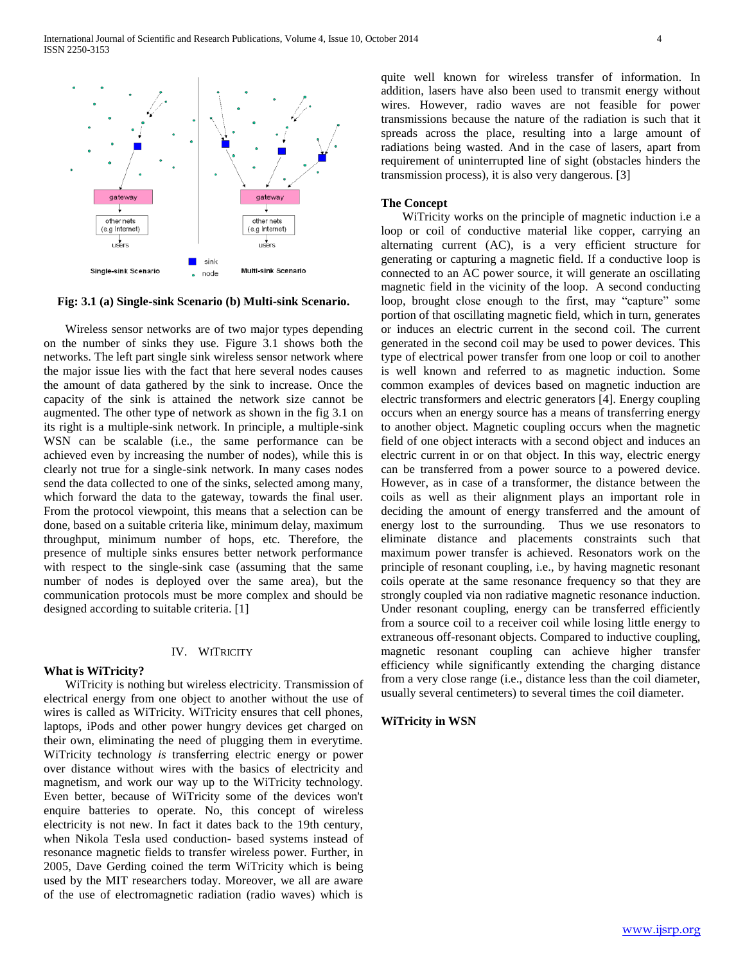

**Fig: 3.1 (a) Single-sink Scenario (b) Multi-sink Scenario.**

 Wireless sensor networks are of two major types depending on the number of sinks they use. Figure 3.1 shows both the networks. The left part single sink wireless sensor network where the major issue lies with the fact that here several nodes causes the amount of data gathered by the sink to increase. Once the capacity of the sink is attained the network size cannot be augmented. The other type of network as shown in the fig 3.1 on its right is a multiple-sink network. In principle, a multiple-sink WSN can be scalable (i.e., the same performance can be achieved even by increasing the number of nodes), while this is clearly not true for a single-sink network. In many cases nodes send the data collected to one of the sinks, selected among many, which forward the data to the gateway, towards the final user. From the protocol viewpoint, this means that a selection can be done, based on a suitable criteria like, minimum delay, maximum throughput, minimum number of hops, etc. Therefore, the presence of multiple sinks ensures better network performance with respect to the single-sink case (assuming that the same number of nodes is deployed over the same area), but the communication protocols must be more complex and should be designed according to suitable criteria. [1]

### IV. WITRICITY

# **What is WiTricity?**

 WiTricity is nothing but wireless electricity. Transmission of electrical energy from one object to another without the use of wires is called as WiTricity. WiTricity ensures that cell phones, laptops, iPods and other power hungry devices get charged on their own, eliminating the need of plugging them in everytime. WiTricity technology *is* transferring electric energy or power over distance without wires with the basics of electricity and magnetism, and work our way up to the WiTricity technology. Even better, because of WiTricity some of the devices won't enquire batteries to operate. No, this concept of wireless electricity is not new. In fact it dates back to the 19th century, when Nikola Tesla used conduction- based systems instead of resonance magnetic fields to transfer wireless power. Further, in 2005, Dave Gerding coined the term WiTricity which is being used by the MIT researchers today. Moreover, we all are aware of the use of electromagnetic radiation (radio waves) which is quite well known for wireless transfer of information. In addition, lasers have also been used to transmit energy without wires. However, radio waves are not feasible for power transmissions because the nature of the radiation is such that it spreads across the place, resulting into a large amount of radiations being wasted. And in the case of lasers, apart from requirement of uninterrupted line of sight (obstacles hinders the transmission process), it is also very dangerous. [3]

## **The Concept**

 WiTricity works on the principle of magnetic induction i.e a loop or coil of conductive material like copper, carrying an alternating current (AC), is a very efficient structure for generating or capturing a magnetic field. If a conductive loop is connected to an AC power source, it will generate an oscillating magnetic field in the vicinity of the loop. A second conducting loop, brought close enough to the first, may "capture" some portion of that oscillating magnetic field, which in turn, generates or induces an electric current in the second coil. The current generated in the second coil may be used to power devices. This type of electrical power transfer from one loop or coil to another is well known and referred to as magnetic induction. Some common examples of devices based on magnetic induction are electric transformers and electric generators [4]. Energy coupling occurs when an energy source has a means of transferring energy to another object. Magnetic coupling occurs when the magnetic field of one object interacts with a second object and induces an electric current in or on that object. In this way, electric energy can be transferred from a power source to a powered device. However, as in case of a transformer, the distance between the coils as well as their alignment plays an important role in deciding the amount of energy transferred and the amount of energy lost to the surrounding. Thus we use resonators to eliminate distance and placements constraints such that maximum power transfer is achieved. Resonators work on the principle of resonant coupling, i.e., by having magnetic resonant coils operate at the same resonance frequency so that they are strongly coupled via non radiative magnetic resonance induction. Under resonant coupling, energy can be transferred efficiently from a source coil to a receiver coil while losing little energy to extraneous off-resonant objects. Compared to inductive coupling, magnetic resonant coupling can achieve higher transfer efficiency while significantly extending the charging distance from a very close range (i.e., distance less than the coil diameter, usually several centimeters) to several times the coil diameter.

## **WiTricity in WSN**